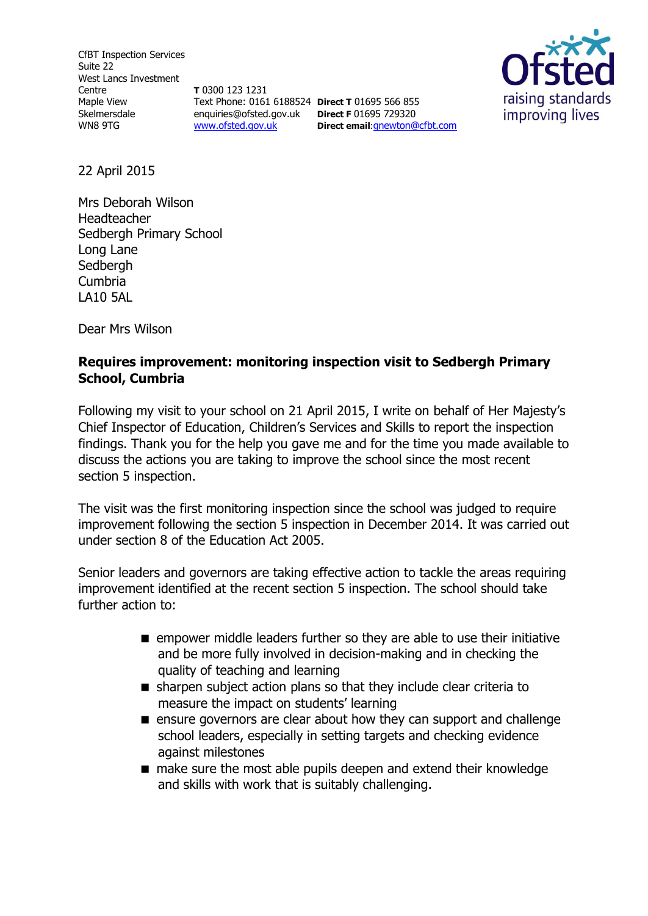CfBT Inspection Services Suite 22 West Lancs Investment Centre Maple View Skelmersdale WN8 9TG

**T** 0300 123 1231 Text Phone: 0161 6188524 **Direct T** 01695 566 855 enquiries@ofsted.gov.uk **Direct F** 01695 729320 [www.ofsted.gov.uk](http://www.ofsted.gov.uk/)

**Direct email**:[gnewton@cfbt.com](file:///C:/Users/gnewton/AppData/Local/Microsoft/Windows/Temporary%20Internet%20Files/Content.IE5/T7UIN0I5/gnewton@cfbt.com)



22 April 2015

Mrs Deborah Wilson Headteacher Sedbergh Primary School Long Lane **Sedbergh** Cumbria LA10 5AL

Dear Mrs Wilson

# **Requires improvement: monitoring inspection visit to Sedbergh Primary School, Cumbria**

Following my visit to your school on 21 April 2015, I write on behalf of Her Majesty's Chief Inspector of Education, Children's Services and Skills to report the inspection findings. Thank you for the help you gave me and for the time you made available to discuss the actions you are taking to improve the school since the most recent section 5 inspection.

The visit was the first monitoring inspection since the school was judged to require improvement following the section 5 inspection in December 2014. It was carried out under section 8 of the Education Act 2005.

Senior leaders and governors are taking effective action to tackle the areas requiring improvement identified at the recent section 5 inspection. The school should take further action to:

- **E** empower middle leaders further so they are able to use their initiative and be more fully involved in decision-making and in checking the quality of teaching and learning
- sharpen subject action plans so that they include clear criteria to measure the impact on students' learning
- **E** ensure governors are clear about how they can support and challenge school leaders, especially in setting targets and checking evidence against milestones
- make sure the most able pupils deepen and extend their knowledge and skills with work that is suitably challenging.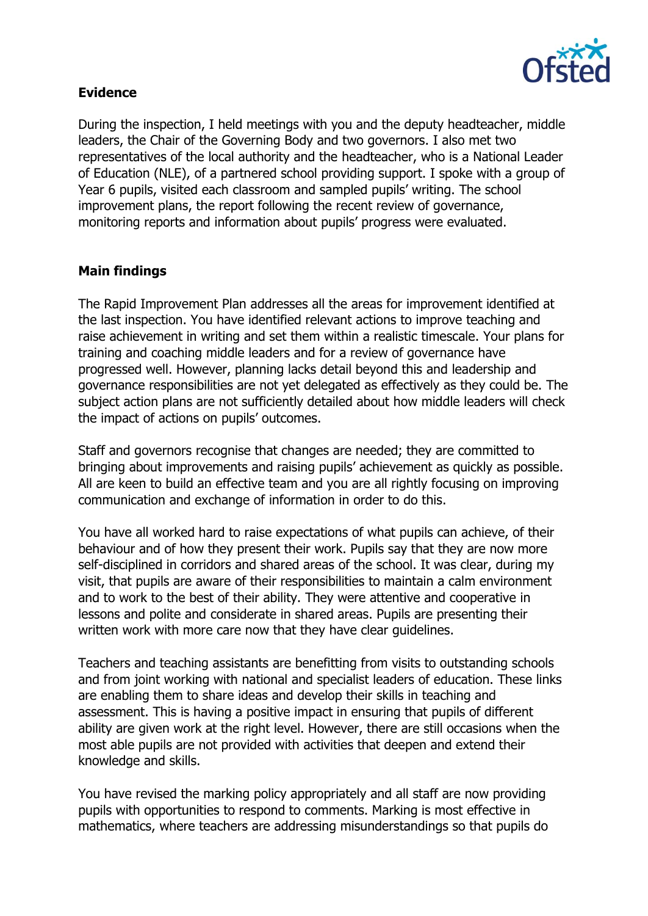

## **Evidence**

During the inspection, I held meetings with you and the deputy headteacher, middle leaders, the Chair of the Governing Body and two governors. I also met two representatives of the local authority and the headteacher, who is a National Leader of Education (NLE), of a partnered school providing support. I spoke with a group of Year 6 pupils, visited each classroom and sampled pupils' writing. The school improvement plans, the report following the recent review of governance, monitoring reports and information about pupils' progress were evaluated.

#### **Main findings**

The Rapid Improvement Plan addresses all the areas for improvement identified at the last inspection. You have identified relevant actions to improve teaching and raise achievement in writing and set them within a realistic timescale. Your plans for training and coaching middle leaders and for a review of governance have progressed well. However, planning lacks detail beyond this and leadership and governance responsibilities are not yet delegated as effectively as they could be. The subject action plans are not sufficiently detailed about how middle leaders will check the impact of actions on pupils' outcomes.

Staff and governors recognise that changes are needed; they are committed to bringing about improvements and raising pupils' achievement as quickly as possible. All are keen to build an effective team and you are all rightly focusing on improving communication and exchange of information in order to do this.

You have all worked hard to raise expectations of what pupils can achieve, of their behaviour and of how they present their work. Pupils say that they are now more self-disciplined in corridors and shared areas of the school. It was clear, during my visit, that pupils are aware of their responsibilities to maintain a calm environment and to work to the best of their ability. They were attentive and cooperative in lessons and polite and considerate in shared areas. Pupils are presenting their written work with more care now that they have clear guidelines.

Teachers and teaching assistants are benefitting from visits to outstanding schools and from joint working with national and specialist leaders of education. These links are enabling them to share ideas and develop their skills in teaching and assessment. This is having a positive impact in ensuring that pupils of different ability are given work at the right level. However, there are still occasions when the most able pupils are not provided with activities that deepen and extend their knowledge and skills.

You have revised the marking policy appropriately and all staff are now providing pupils with opportunities to respond to comments. Marking is most effective in mathematics, where teachers are addressing misunderstandings so that pupils do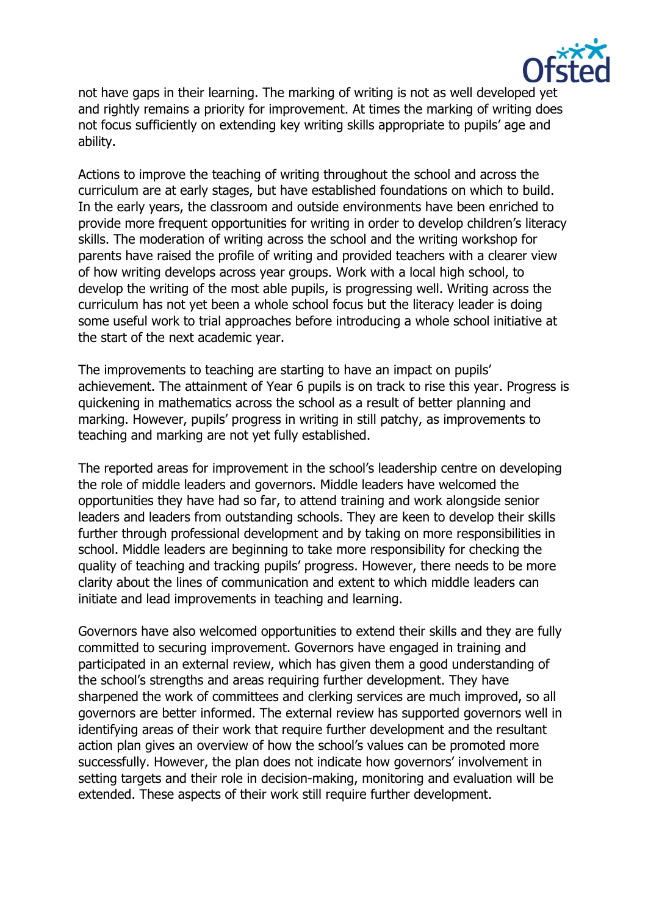

not have gaps in their learning. The marking of writing is not as well developed yet and rightly remains a priority for improvement. At times the marking of writing does not focus sufficiently on extending key writing skills appropriate to pupils' age and ability.

Actions to improve the teaching of writing throughout the school and across the curriculum are at early stages, but have established foundations on which to build. In the early years, the classroom and outside environments have been enriched to provide more frequent opportunities for writing in order to develop children's literacy skills. The moderation of writing across the school and the writing workshop for parents have raised the profile of writing and provided teachers with a clearer view of how writing develops across year groups. Work with a local high school, to develop the writing of the most able pupils, is progressing well. Writing across the curriculum has not yet been a whole school focus but the literacy leader is doing some useful work to trial approaches before introducing a whole school initiative at the start of the next academic year.

The improvements to teaching are starting to have an impact on pupils' achievement. The attainment of Year 6 pupils is on track to rise this year. Progress is quickening in mathematics across the school as a result of better planning and marking. However, pupils' progress in writing in still patchy, as improvements to teaching and marking are not yet fully established.

The reported areas for improvement in the school's leadership centre on developing the role of middle leaders and governors. Middle leaders have welcomed the opportunities they have had so far, to attend training and work alongside senior leaders and leaders from outstanding schools. They are keen to develop their skills further through professional development and by taking on more responsibilities in school. Middle leaders are beginning to take more responsibility for checking the quality of teaching and tracking pupils' progress. However, there needs to be more clarity about the lines of communication and extent to which middle leaders can initiate and lead improvements in teaching and learning.

Governors have also welcomed opportunities to extend their skills and they are fully committed to securing improvement. Governors have engaged in training and participated in an external review, which has given them a good understanding of the school's strengths and areas requiring further development. They have sharpened the work of committees and clerking services are much improved, so all governors are better informed. The external review has supported governors well in identifying areas of their work that require further development and the resultant action plan gives an overview of how the school's values can be promoted more successfully. However, the plan does not indicate how governors' involvement in setting targets and their role in decision-making, monitoring and evaluation will be extended. These aspects of their work still require further development.